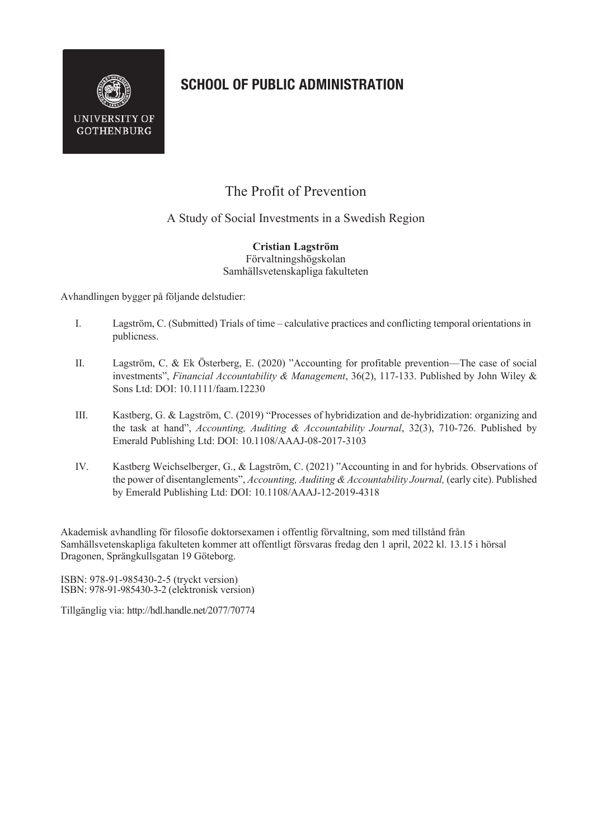

## **SCHOOL OF PUBLIC ADMINISTRATION**

## The Profit of Prevention

A Study of Social Investments in a Swedish Region

**Cristian Lagström** Förvaltningshögskolan Samhällsvetenskapliga fakulteten

Avhandlingen bygger på följande delstudier:

- I. Lagström, C. (Submitted) Trials of time calculative practices and conflicting temporal orientations in publicness.
- II. Lagström, C. & Ek Österberg, E. (2020) "Accounting for profitable prevention—The case of social investments", *Financial Accountability & Management*, 36(2), 117-133. Published by John Wiley & Sons Ltd: DOI: 10.1111/faam.12230
- III. Kastberg, G. & Lagström, C. (2019) "Processes of hybridization and de-hybridization: organizing and the task at hand", *Accounting, Auditing & Accountability Journal*, 32(3), 710-726. Published by Emerald Publishing Ltd: DOI: 10.1108/AAAJ-08-2017-3103
- IV. Kastberg Weichselberger, G., & Lagström, C. (2021) "Accounting in and for hybrids. Observations of the power of disentanglements", *Accounting, Auditing & Accountability Journal,* (early cite). Published by Emerald Publishing Ltd: DOI: 10.1108/AAAJ-12-2019-4318

Akademisk avhandling för filosofie doktorsexamen i offentlig förvaltning, som med tillstånd från Samhällsvetenskapliga fakulteten kommer att offentligt försvaras fredag den 1 april, 2022 kl. 13.15 i hörsal Dragonen, Sprängkullsgatan 19 Göteborg.

ISBN: 978-91-985430-2-5 (tryckt version) ISBN: 978-91-985430-3-2 (elektronisk version)

Tillgänglig via: http://hdl.handle.net/2077/70774